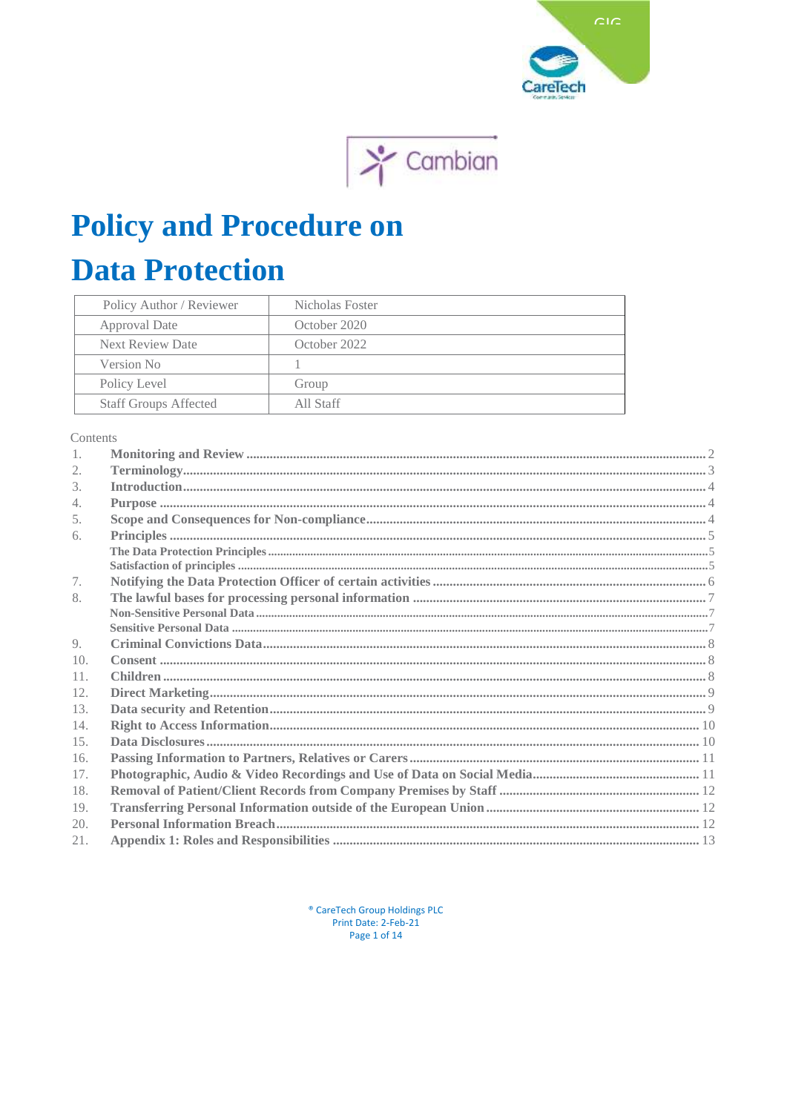



# **Policy and Procedure on**

# **Data Protection**

| Policy Author / Reviewer     | Nicholas Foster |
|------------------------------|-----------------|
| Approval Date                | October 2020    |
| <b>Next Review Date</b>      | October 2022    |
| Version No                   |                 |
| Policy Level                 | Group           |
| <b>Staff Groups Affected</b> | All Staff       |

Contents

| 1.  |  |
|-----|--|
| 2.  |  |
| 3.  |  |
| 4.  |  |
| 5.  |  |
| 6.  |  |
|     |  |
|     |  |
| 7.  |  |
| 8.  |  |
|     |  |
|     |  |
| 9.  |  |
| 10. |  |
| 11. |  |
| 12. |  |
| 13. |  |
| 14. |  |
| 15. |  |
| 16. |  |
| 17. |  |
| 18. |  |
| 19. |  |
| 20. |  |
| 21. |  |

<sup>®</sup> CareTech Group Holdings PLC Print Date: 2-Feb-21 Page 1 of 14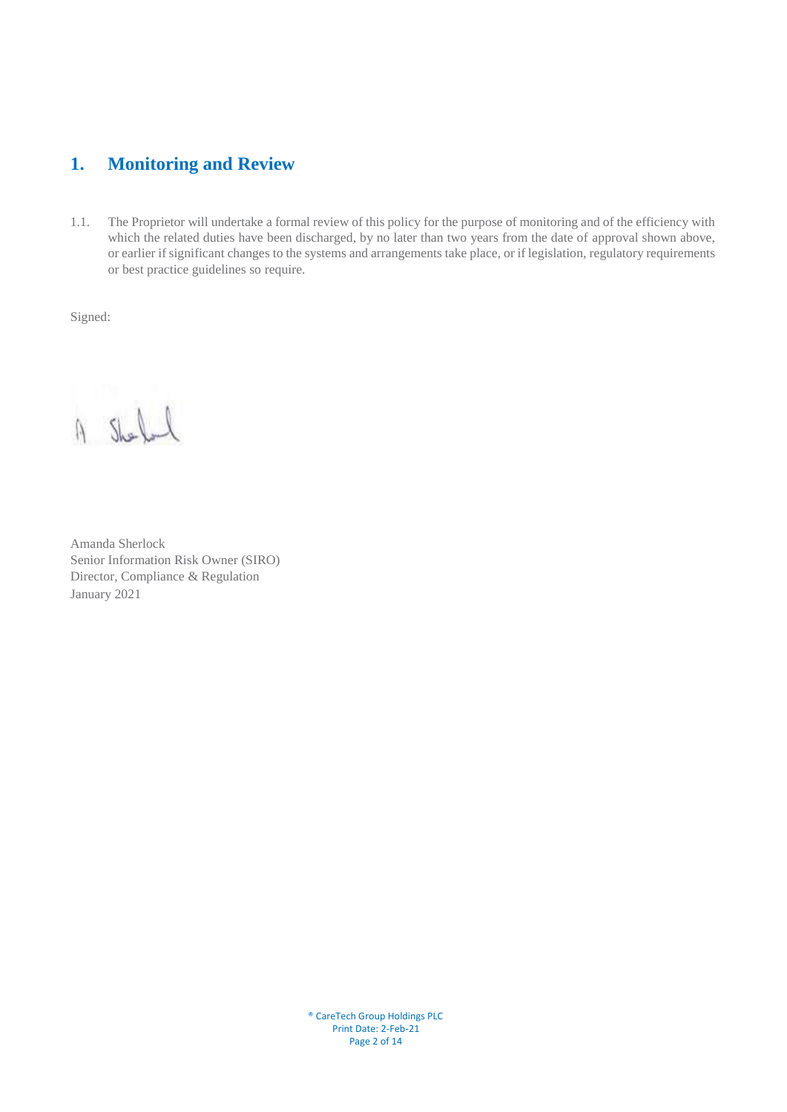# <span id="page-1-0"></span>**1. Monitoring and Review**

1.1. The Proprietor will undertake a formal review of this policy for the purpose of monitoring and of the efficiency with which the related duties have been discharged, by no later than two years from the date of approval shown above, or earlier if significant changes to the systems and arrangements take place, or if legislation, regulatory requirements or best practice guidelines so require.

Signed:

A Shorlond

Amanda Sherlock Senior Information Risk Owner (SIRO) Director, Compliance & Regulation January 2021

® CareTech Group Holdings PLC Print Date: 2-Feb-21 Page 2 of 14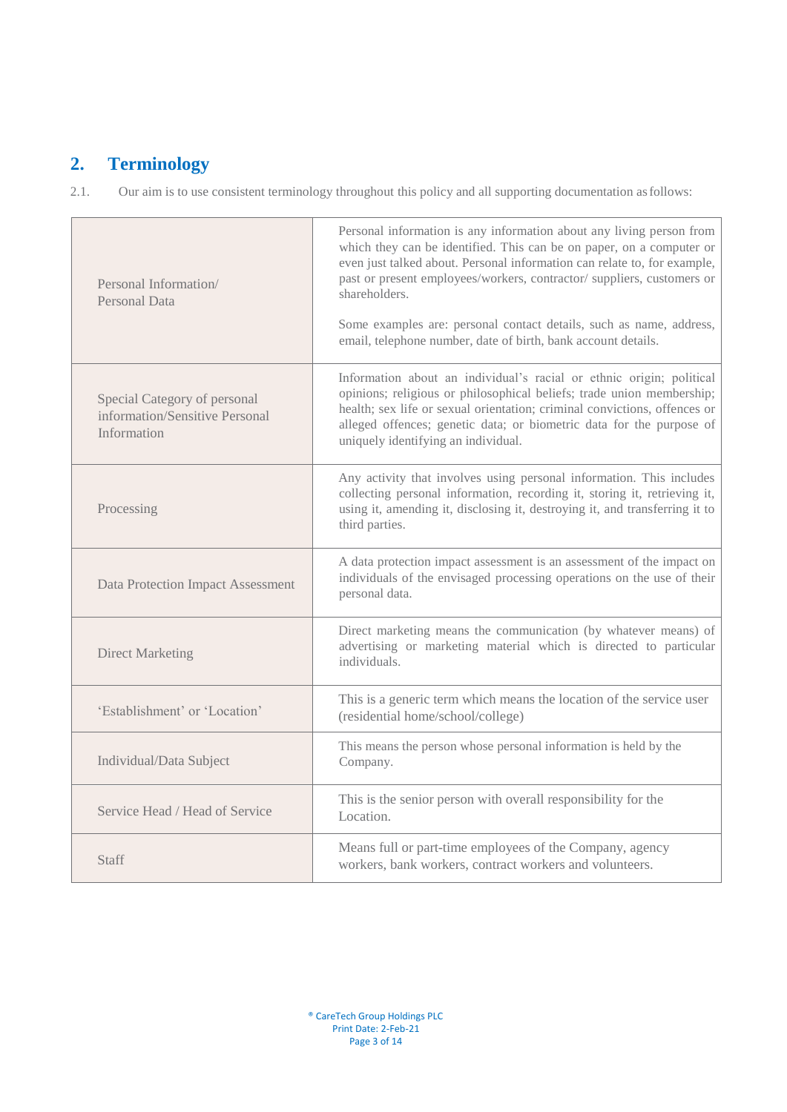# <span id="page-2-0"></span>**2. Terminology**

2.1. Our aim is to use consistent terminology throughout this policy and all supporting documentation asfollows:

| Personal Information/<br>Personal Data                                        | Personal information is any information about any living person from<br>which they can be identified. This can be on paper, on a computer or<br>even just talked about. Personal information can relate to, for example,<br>past or present employees/workers, contractor/ suppliers, customers or<br>shareholders.<br>Some examples are: personal contact details, such as name, address,<br>email, telephone number, date of birth, bank account details. |
|-------------------------------------------------------------------------------|-------------------------------------------------------------------------------------------------------------------------------------------------------------------------------------------------------------------------------------------------------------------------------------------------------------------------------------------------------------------------------------------------------------------------------------------------------------|
| Special Category of personal<br>information/Sensitive Personal<br>Information | Information about an individual's racial or ethnic origin; political<br>opinions; religious or philosophical beliefs; trade union membership;<br>health; sex life or sexual orientation; criminal convictions, offences or<br>alleged offences; genetic data; or biometric data for the purpose of<br>uniquely identifying an individual.                                                                                                                   |
| Processing                                                                    | Any activity that involves using personal information. This includes<br>collecting personal information, recording it, storing it, retrieving it,<br>using it, amending it, disclosing it, destroying it, and transferring it to<br>third parties.                                                                                                                                                                                                          |
| <b>Data Protection Impact Assessment</b>                                      | A data protection impact assessment is an assessment of the impact on<br>individuals of the envisaged processing operations on the use of their<br>personal data.                                                                                                                                                                                                                                                                                           |
| <b>Direct Marketing</b>                                                       | Direct marketing means the communication (by whatever means) of<br>advertising or marketing material which is directed to particular<br>individuals.                                                                                                                                                                                                                                                                                                        |
| 'Establishment' or 'Location'                                                 | This is a generic term which means the location of the service user<br>(residential home/school/college)                                                                                                                                                                                                                                                                                                                                                    |
| Individual/Data Subject                                                       | This means the person whose personal information is held by the<br>Company.                                                                                                                                                                                                                                                                                                                                                                                 |
| Service Head / Head of Service                                                | This is the senior person with overall responsibility for the<br>Location.                                                                                                                                                                                                                                                                                                                                                                                  |
| <b>Staff</b>                                                                  | Means full or part-time employees of the Company, agency<br>workers, bank workers, contract workers and volunteers.                                                                                                                                                                                                                                                                                                                                         |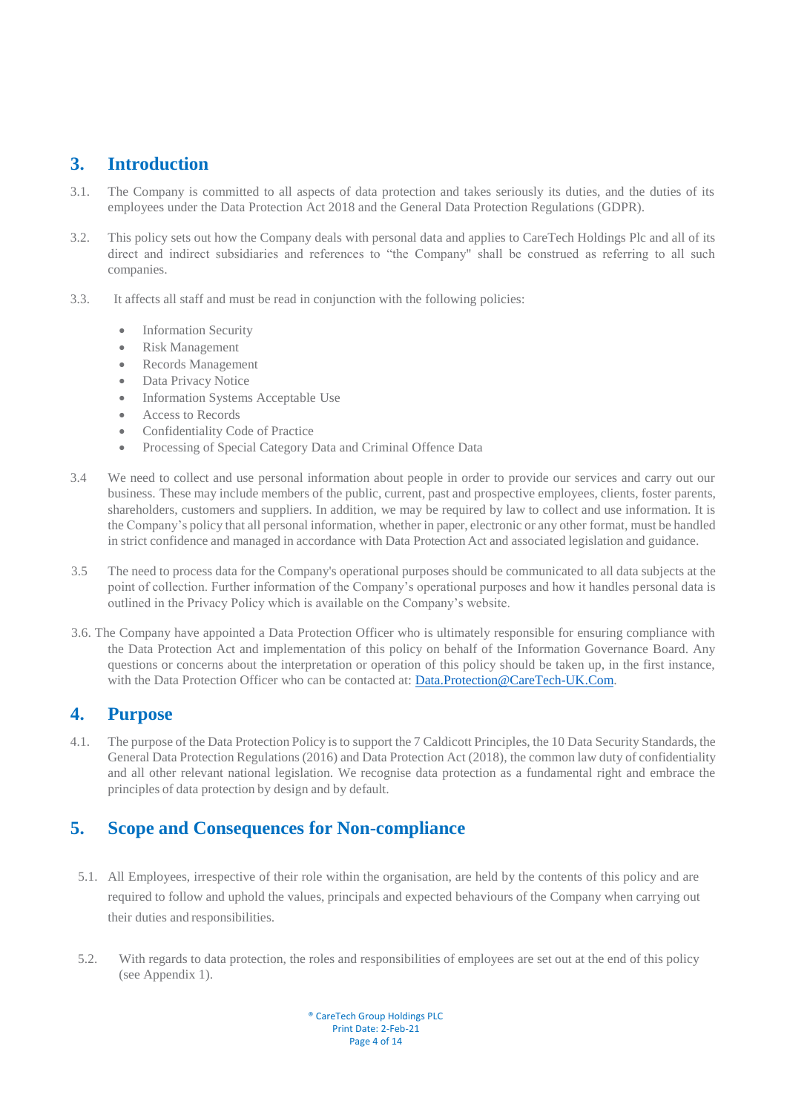## <span id="page-3-0"></span>**3. Introduction**

- 3.1. The Company is committed to all aspects of data protection and takes seriously its duties, and the duties of its employees under the Data Protection Act 2018 and the General Data Protection Regulations (GDPR).
- 3.2. This policy sets out how the Company deals with personal data and applies to CareTech Holdings Plc and all of its direct and indirect subsidiaries and references to "the Company" shall be construed as referring to all such companies.
- 3.3. It affects all staff and must be read in conjunction with the following policies:
	- Information Security
	- Risk Management
	- Records Management
	- Data Privacy Notice
	- Information Systems Acceptable Use
	- Access to Records
	- Confidentiality Code of Practice
	- Processing of Special Category Data and Criminal Offence Data
- 3.4 We need to collect and use personal information about people in order to provide our services and carry out our business. These may include members of the public, current, past and prospective employees, clients, foster parents, shareholders, customers and suppliers. In addition, we may be required by law to collect and use information. It is the Company's policy that all personal information, whether in paper, electronic or any other format, must be handled in strict confidence and managed in accordance with Data Protection Act and associated legislation and guidance.
- 3.5 The need to process data for the Company's operational purposes should be communicated to all data subjects at the point of collection. Further information of the Company's operational purposes and how it handles personal data is outlined in the Privacy Policy which is available on the Company's website.
- 3.6. The Company have appointed a Data Protection Officer who is ultimately responsible for ensuring compliance with the Data Protection Act and implementation of this policy on behalf of the Information Governance Board. Any questions or concerns about the interpretation or operation of this policy should be taken up, in the first instance, with the Data Protection Officer who can be contacted at: [Data.Protection@CareTech-UK.Com.](mailto:Data.Protection@CareTech-UK.Com)

#### <span id="page-3-1"></span>**4. Purpose**

4.1. The purpose of the Data Protection Policy is to support the 7 Caldicott Principles, the 10 Data Security Standards, the General Data Protection Regulations(2016) and Data Protection Act (2018), the common law duty of confidentiality and all other relevant national legislation. We recognise data protection as a fundamental right and embrace the principles of data protection by design and by default.

# <span id="page-3-2"></span>**5. Scope and Consequences for Non-compliance**

- 5.1. All Employees, irrespective of their role within the organisation, are held by the contents of this policy and are required to follow and uphold the values, principals and expected behaviours of the Company when carrying out their duties and responsibilities.
- 5.2. With regards to data protection, the roles and responsibilities of employees are set out at the end of this policy (see Appendix 1).

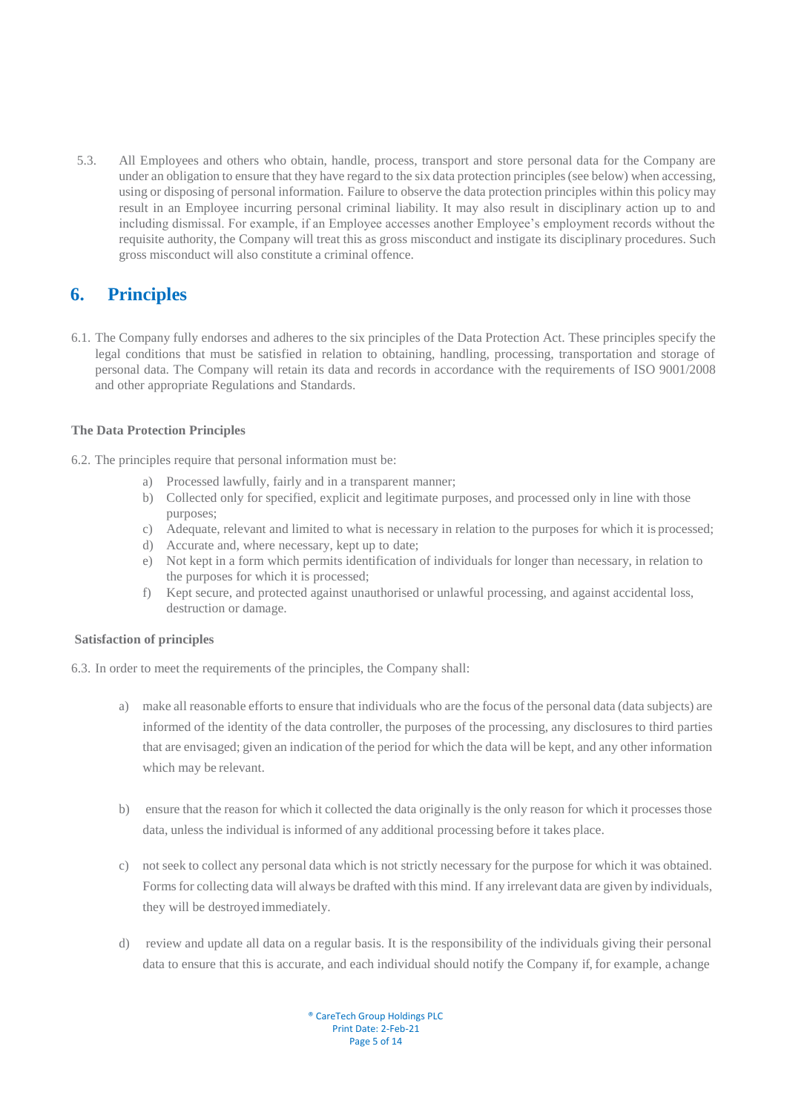5.3. All Employees and others who obtain, handle, process, transport and store personal data for the Company are under an obligation to ensure that they have regard to the six data protection principles(see below) when accessing, using or disposing of personal information. Failure to observe the data protection principles within this policy may result in an Employee incurring personal criminal liability. It may also result in disciplinary action up to and including dismissal. For example, if an Employee accesses another Employee's employment records without the requisite authority, the Company will treat this as gross misconduct and instigate its disciplinary procedures. Such gross misconduct will also constitute a criminal offence.

## <span id="page-4-0"></span>**6. Principles**

6.1. The Company fully endorses and adheres to the six principles of the Data Protection Act. These principles specify the legal conditions that must be satisfied in relation to obtaining, handling, processing, transportation and storage of personal data. The Company will retain its data and records in accordance with the requirements of ISO 9001/2008 and other appropriate Regulations and Standards.

#### <span id="page-4-1"></span>**The Data Protection Principles**

- 6.2. The principles require that personal information must be:
	- a) Processed lawfully, fairly and in a transparent manner;
	- b) Collected only for specified, explicit and legitimate purposes, and processed only in line with those purposes;
	- c) Adequate, relevant and limited to what is necessary in relation to the purposes for which it is processed;
	- d) Accurate and, where necessary, kept up to date;
	- e) Not kept in a form which permits identification of individuals for longer than necessary, in relation to the purposes for which it is processed;
	- f) Kept secure, and protected against unauthorised or unlawful processing, and against accidental loss, destruction or damage.

#### <span id="page-4-2"></span>**Satisfaction of principles**

- 6.3. In order to meet the requirements of the principles, the Company shall:
	- a) make all reasonable efforts to ensure that individuals who are the focus of the personal data (data subjects) are informed of the identity of the data controller, the purposes of the processing, any disclosures to third parties that are envisaged; given an indication of the period for which the data will be kept, and any other information which may be relevant.
	- b) ensure that the reason for which it collected the data originally is the only reason for which it processes those data, unless the individual is informed of any additional processing before it takes place.
	- c) not seek to collect any personal data which is not strictly necessary for the purpose for which it was obtained. Forms for collecting data will always be drafted with this mind. If any irrelevant data are given by individuals, they will be destroyed immediately.
	- d) review and update all data on a regular basis. It is the responsibility of the individuals giving their personal data to ensure that this is accurate, and each individual should notify the Company if, for example, achange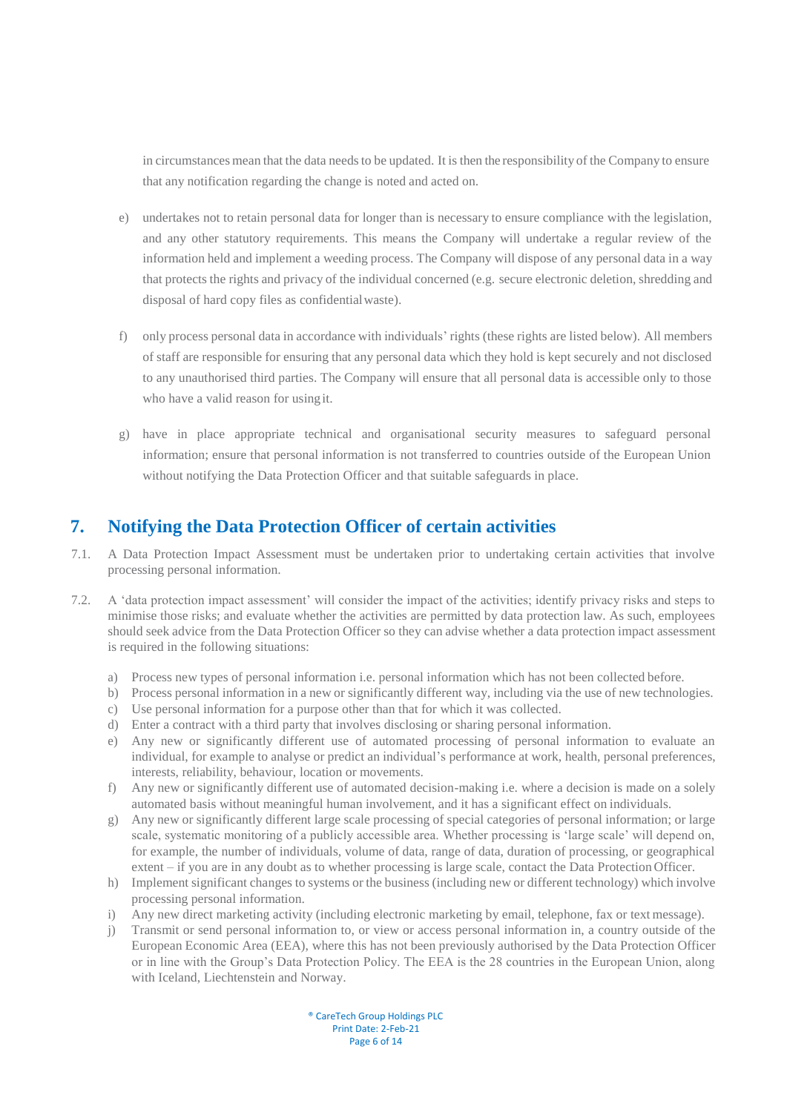in circumstances mean that the data needsto be updated. It is then the responsibility of the Company to ensure that any notification regarding the change is noted and acted on.

- e) undertakes not to retain personal data for longer than is necessary to ensure compliance with the legislation, and any other statutory requirements. This means the Company will undertake a regular review of the information held and implement a weeding process. The Company will dispose of any personal data in a way that protects the rights and privacy of the individual concerned (e.g. secure electronic deletion, shredding and disposal of hard copy files as confidentialwaste).
- f) only process personal data in accordance with individuals' rights (these rights are listed below). All members of staff are responsible for ensuring that any personal data which they hold is kept securely and not disclosed to any unauthorised third parties. The Company will ensure that all personal data is accessible only to those who have a valid reason for usingit.
- g) have in place appropriate technical and organisational security measures to safeguard personal information; ensure that personal information is not transferred to countries outside of the European Union without notifying the Data Protection Officer and that suitable safeguards in place.

### <span id="page-5-0"></span>**7. Notifying the Data Protection Officer of certain activities**

- 7.1. A Data Protection Impact Assessment must be undertaken prior to undertaking certain activities that involve processing personal information.
- 7.2. A 'data protection impact assessment' will consider the impact of the activities; identify privacy risks and steps to minimise those risks; and evaluate whether the activities are permitted by data protection law. As such, employees should seek advice from the Data Protection Officer so they can advise whether a data protection impact assessment is required in the following situations:
	- a) Process new types of personal information i.e. personal information which has not been collected before.
	- b) Process personal information in a new or significantly different way, including via the use of new technologies.
	- c) Use personal information for a purpose other than that for which it was collected.
	- d) Enter a contract with a third party that involves disclosing or sharing personal information.
	- e) Any new or significantly different use of automated processing of personal information to evaluate an individual, for example to analyse or predict an individual's performance at work, health, personal preferences, interests, reliability, behaviour, location or movements.
	- f) Any new or significantly different use of automated decision-making i.e. where a decision is made on a solely automated basis without meaningful human involvement, and it has a significant effect on individuals.
	- g) Any new or significantly different large scale processing of special categories of personal information; or large scale, systematic monitoring of a publicly accessible area. Whether processing is 'large scale' will depend on, for example, the number of individuals, volume of data, range of data, duration of processing, or geographical extent – if you are in any doubt as to whether processing is large scale, contact the Data Protection Officer.
	- h) Implement significant changes to systems or the business (including new or different technology) which involve processing personal information.
	- i) Any new direct marketing activity (including electronic marketing by email, telephone, fax or text message).
	- j) Transmit or send personal information to, or view or access personal information in, a country outside of the European Economic Area (EEA), where this has not been previously authorised by the Data Protection Officer or in line with the Group's Data Protection Policy. The EEA is the 28 countries in the European Union, along with Iceland, Liechtenstein and Norway.

® CareTech Group Holdings PLC Print Date: 2-Feb-21 Page 6 of 14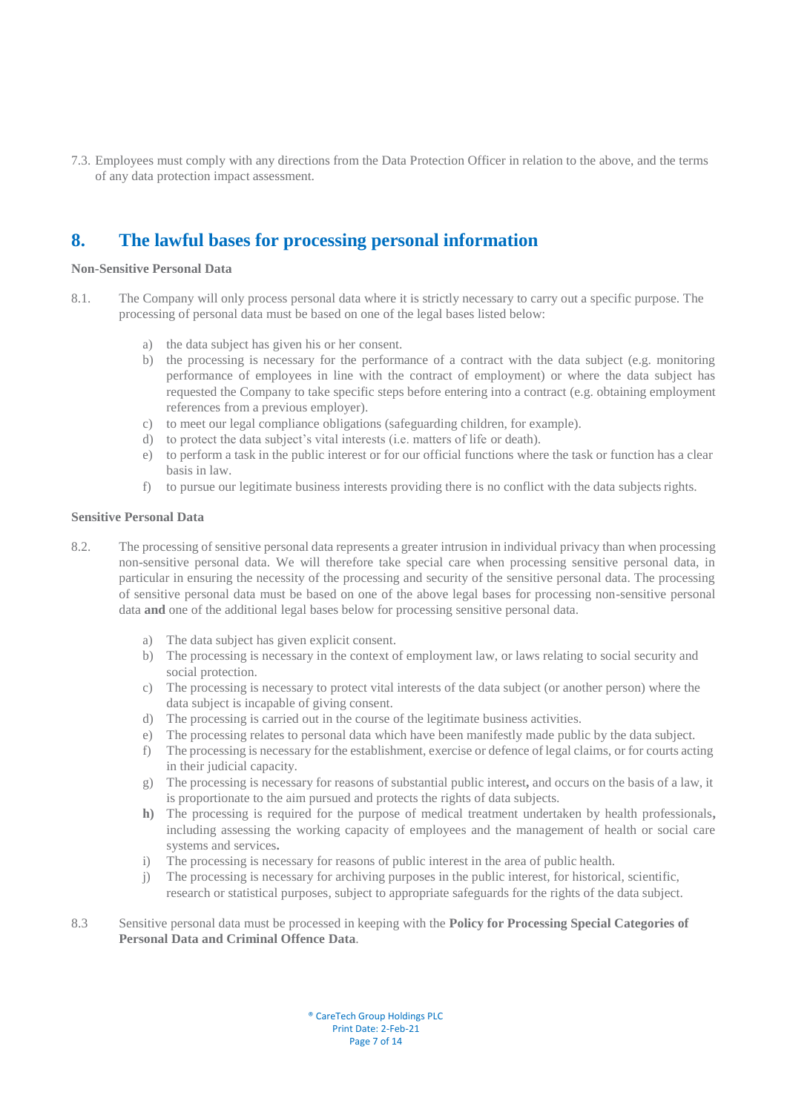7.3. Employees must comply with any directions from the Data Protection Officer in relation to the above, and the terms of any data protection impact assessment.

### <span id="page-6-0"></span>**8. The lawful bases for processing personal information**

#### <span id="page-6-1"></span>**Non-Sensitive Personal Data**

- 8.1. The Company will only process personal data where it is strictly necessary to carry out a specific purpose. The processing of personal data must be based on one of the legal bases listed below:
	- a) the data subject has given his or her consent.
	- b) the processing is necessary for the performance of a contract with the data subject (e.g. monitoring performance of employees in line with the contract of employment) or where the data subject has requested the Company to take specific steps before entering into a contract (e.g. obtaining employment references from a previous employer).
	- c) to meet our legal compliance obligations (safeguarding children, for example).
	- d) to protect the data subject's vital interests (i.e. matters of life or death).
	- e) to perform a task in the public interest or for our official functions where the task or function has a clear basis in law.
	- f) to pursue our legitimate business interests providing there is no conflict with the data subjectsrights.

#### <span id="page-6-2"></span>**Sensitive Personal Data**

- 8.2. The processing of sensitive personal data represents a greater intrusion in individual privacy than when processing non-sensitive personal data. We will therefore take special care when processing sensitive personal data, in particular in ensuring the necessity of the processing and security of the sensitive personal data. The processing of sensitive personal data must be based on one of the above legal bases for processing non-sensitive personal data **and** one of the additional legal bases below for processing sensitive personal data.
	- a) The data subject has given explicit consent.
	- b) The processing is necessary in the context of employment law, or laws relating to social security and social protection.
	- c) The processing is necessary to protect vital interests of the data subject (or another person) where the data subject is incapable of giving consent.
	- d) The processing is carried out in the course of the legitimate business activities.
	- e) The processing relates to personal data which have been manifestly made public by the data subject.
	- f) The processing is necessary for the establishment, exercise or defence of legal claims, or for courts acting in their judicial capacity.
	- g) The processing is necessary for reasons of substantial public interest**,** and occurs on the basis of a law, it is proportionate to the aim pursued and protects the rights of data subjects.
	- **h)** The processing is required for the purpose of medical treatment undertaken by health professionals**,**  including assessing the working capacity of employees and the management of health or social care systems and services**.**
	- i) The processing is necessary for reasons of public interest in the area of public health.
	- j) The processing is necessary for archiving purposes in the public interest, for historical, scientific, research or statistical purposes, subject to appropriate safeguards for the rights of the data subject.

#### 8.3 Sensitive personal data must be processed in keeping with the **Policy for Processing Special Categories of Personal Data and Criminal Offence Data**.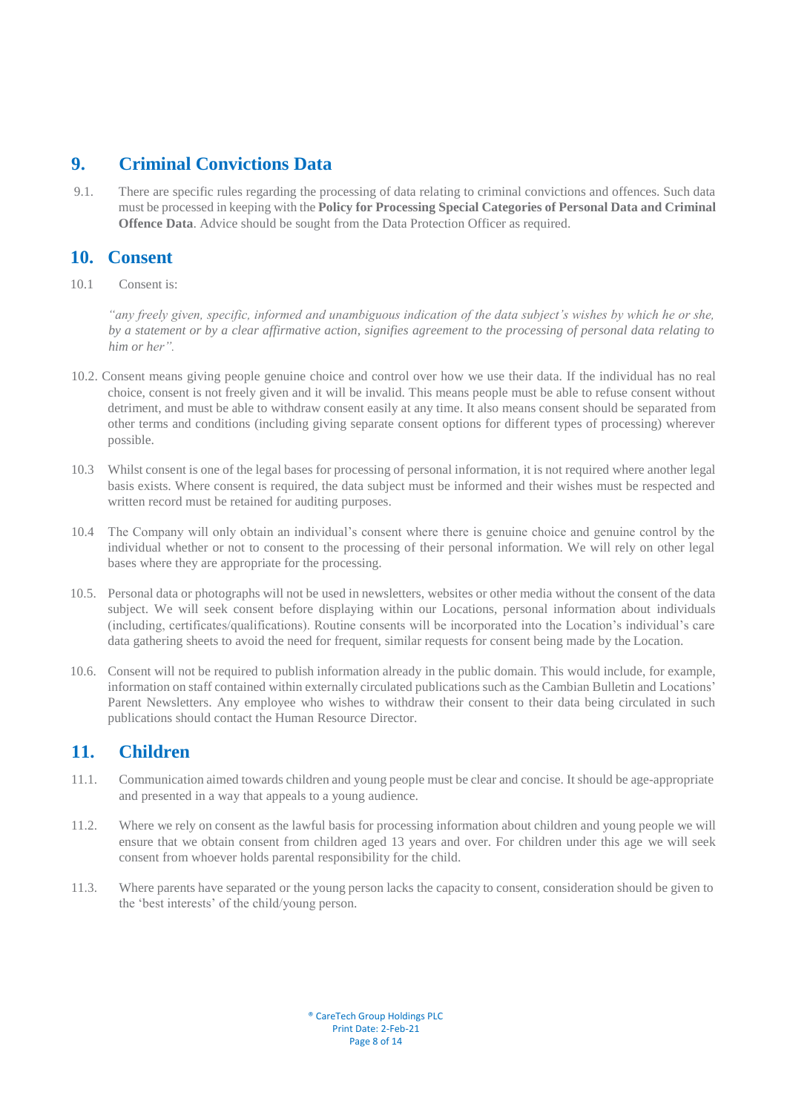#### <span id="page-7-0"></span>**9. Criminal Convictions Data**

9.1. There are specific rules regarding the processing of data relating to criminal convictions and offences. Such data must be processed in keeping with the **Policy for Processing Special Categories of Personal Data and Criminal Offence Data**. Advice should be sought from the Data Protection Officer as required.

### <span id="page-7-1"></span>**10. Consent**

10.1 Consent is:

*"any freely given, specific, informed and unambiguous indication of the data subject's wishes by which he or she, by a statement or by a clear affirmative action, signifies agreement to the processing of personal data relating to him or her".*

- 10.2. Consent means giving people genuine choice and control over how we use their data. If the individual has no real choice, consent is not freely given and it will be invalid. This means people must be able to refuse consent without detriment, and must be able to withdraw consent easily at any time. It also means consent should be separated from other terms and conditions (including giving separate consent options for different types of processing) wherever possible.
- 10.3 Whilst consent is one of the legal bases for processing of personal information, it is not required where another legal basis exists. Where consent is required, the data subject must be informed and their wishes must be respected and written record must be retained for auditing purposes.
- 10.4 The Company will only obtain an individual's consent where there is genuine choice and genuine control by the individual whether or not to consent to the processing of their personal information. We will rely on other legal bases where they are appropriate for the processing.
- 10.5. Personal data or photographs will not be used in newsletters, websites or other media without the consent of the data subject. We will seek consent before displaying within our Locations, personal information about individuals (including, certificates/qualifications). Routine consents will be incorporated into the Location's individual's care data gathering sheets to avoid the need for frequent, similar requests for consent being made by the Location.
- 10.6. Consent will not be required to publish information already in the public domain. This would include, for example, information on staff contained within externally circulated publications such as the Cambian Bulletin and Locations' Parent Newsletters. Any employee who wishes to withdraw their consent to their data being circulated in such publications should contact the Human Resource Director.

## <span id="page-7-2"></span>**11. Children**

- 11.1. Communication aimed towards children and young people must be clear and concise. It should be age-appropriate and presented in a way that appeals to a young audience.
- 11.2. Where we rely on consent as the lawful basis for processing information about children and young people we will ensure that we obtain consent from children aged 13 years and over. For children under this age we will seek consent from whoever holds parental responsibility for the child.
- 11.3. Where parents have separated or the young person lacks the capacity to consent, consideration should be given to the 'best interests' of the child/young person.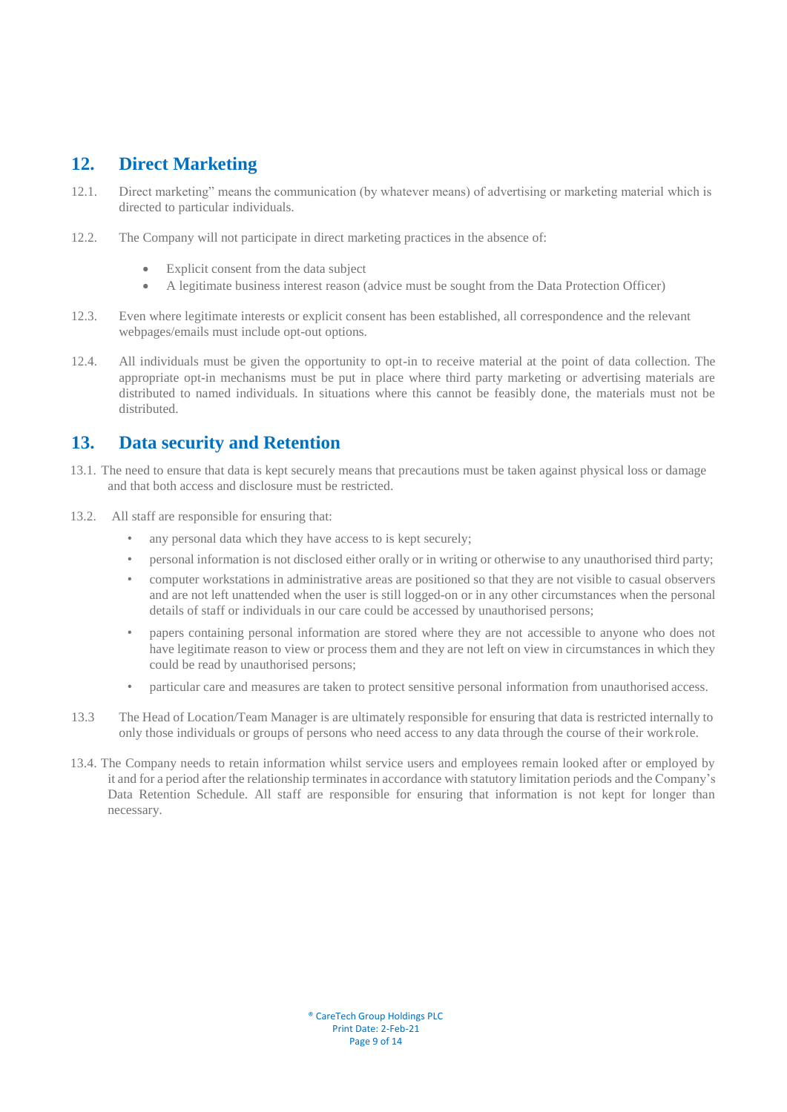## <span id="page-8-0"></span>**12. Direct Marketing**

- 12.1. Direct marketing" means the communication (by whatever means) of advertising or marketing material which is directed to particular individuals.
- 12.2. The Company will not participate in direct marketing practices in the absence of:
	- Explicit consent from the data subject
	- A legitimate business interest reason (advice must be sought from the Data Protection Officer)
- 12.3. Even where legitimate interests or explicit consent has been established, all correspondence and the relevant webpages/emails must include opt-out options.
- 12.4. All individuals must be given the opportunity to opt-in to receive material at the point of data collection. The appropriate opt-in mechanisms must be put in place where third party marketing or advertising materials are distributed to named individuals. In situations where this cannot be feasibly done, the materials must not be distributed.

## <span id="page-8-1"></span>**13. Data security and Retention**

- 13.1. The need to ensure that data is kept securely means that precautions must be taken against physical loss or damage and that both access and disclosure must be restricted.
- 13.2. All staff are responsible for ensuring that:
	- any personal data which they have access to is kept securely;
	- personal information is not disclosed either orally or in writing or otherwise to any unauthorised third party;
	- computer workstations in administrative areas are positioned so that they are not visible to casual observers and are not left unattended when the user is still logged-on or in any other circumstances when the personal details of staff or individuals in our care could be accessed by unauthorised persons;
	- papers containing personal information are stored where they are not accessible to anyone who does not have legitimate reason to view or process them and they are not left on view in circumstances in which they could be read by unauthorised persons;
	- particular care and measures are taken to protect sensitive personal information from unauthorised access.
- 13.3 The Head of Location/Team Manager is are ultimately responsible for ensuring that data is restricted internally to only those individuals or groups of persons who need access to any data through the course of their workrole.
- 13.4. The Company needs to retain information whilst service users and employees remain looked after or employed by it and for a period after the relationship terminatesin accordance with statutory limitation periods and the Company's Data Retention Schedule. All staff are responsible for ensuring that information is not kept for longer than necessary.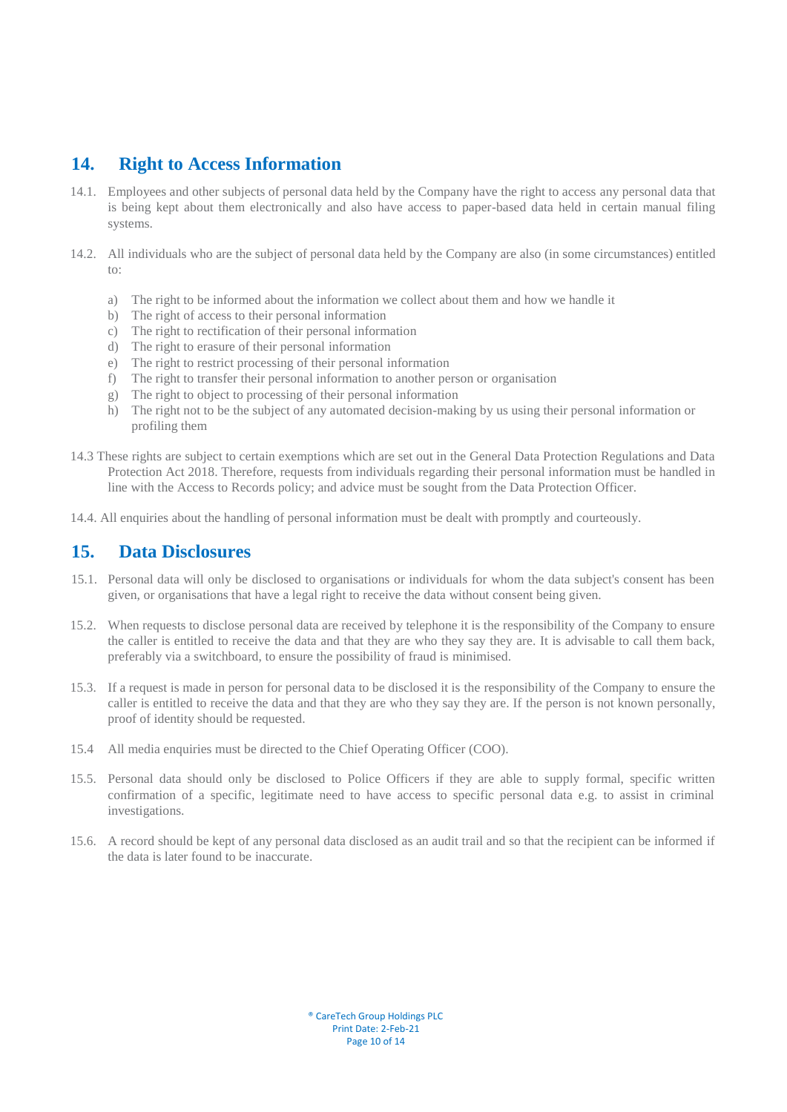#### <span id="page-9-0"></span>**14. Right to Access Information**

- 14.1. Employees and other subjects of personal data held by the Company have the right to access any personal data that is being kept about them electronically and also have access to paper-based data held in certain manual filing systems.
- 14.2. All individuals who are the subject of personal data held by the Company are also (in some circumstances) entitled to:
	- a) The right to be informed about the information we collect about them and how we handle it
	- b) The right of access to their personal information
	- c) The right to rectification of their personal information
	- d) The right to erasure of their personal information
	- e) The right to restrict processing of their personal information
	- f) The right to transfer their personal information to another person or organisation
	- g) The right to object to processing of their personal information
	- h) The right not to be the subject of any automated decision-making by us using their personal information or profiling them
- 14.3 These rights are subject to certain exemptions which are set out in the General Data Protection Regulations and Data Protection Act 2018. Therefore, requests from individuals regarding their personal information must be handled in line with the Access to Records policy; and advice must be sought from the Data Protection Officer.
- 14.4. All enquiries about the handling of personal information must be dealt with promptly and courteously.

#### <span id="page-9-1"></span>**15. Data Disclosures**

- 15.1. Personal data will only be disclosed to organisations or individuals for whom the data subject's consent has been given, or organisations that have a legal right to receive the data without consent being given.
- 15.2. When requests to disclose personal data are received by telephone it is the responsibility of the Company to ensure the caller is entitled to receive the data and that they are who they say they are. It is advisable to call them back, preferably via a switchboard, to ensure the possibility of fraud is minimised.
- 15.3. If a request is made in person for personal data to be disclosed it is the responsibility of the Company to ensure the caller is entitled to receive the data and that they are who they say they are. If the person is not known personally, proof of identity should be requested.
- 15.4 All media enquiries must be directed to the Chief Operating Officer (COO).
- 15.5. Personal data should only be disclosed to Police Officers if they are able to supply formal, specific written confirmation of a specific, legitimate need to have access to specific personal data e.g. to assist in criminal investigations.
- 15.6. A record should be kept of any personal data disclosed as an audit trail and so that the recipient can be informed if the data is later found to be inaccurate.

® CareTech Group Holdings PLC Print Date: 2-Feb-21 Page 10 of 14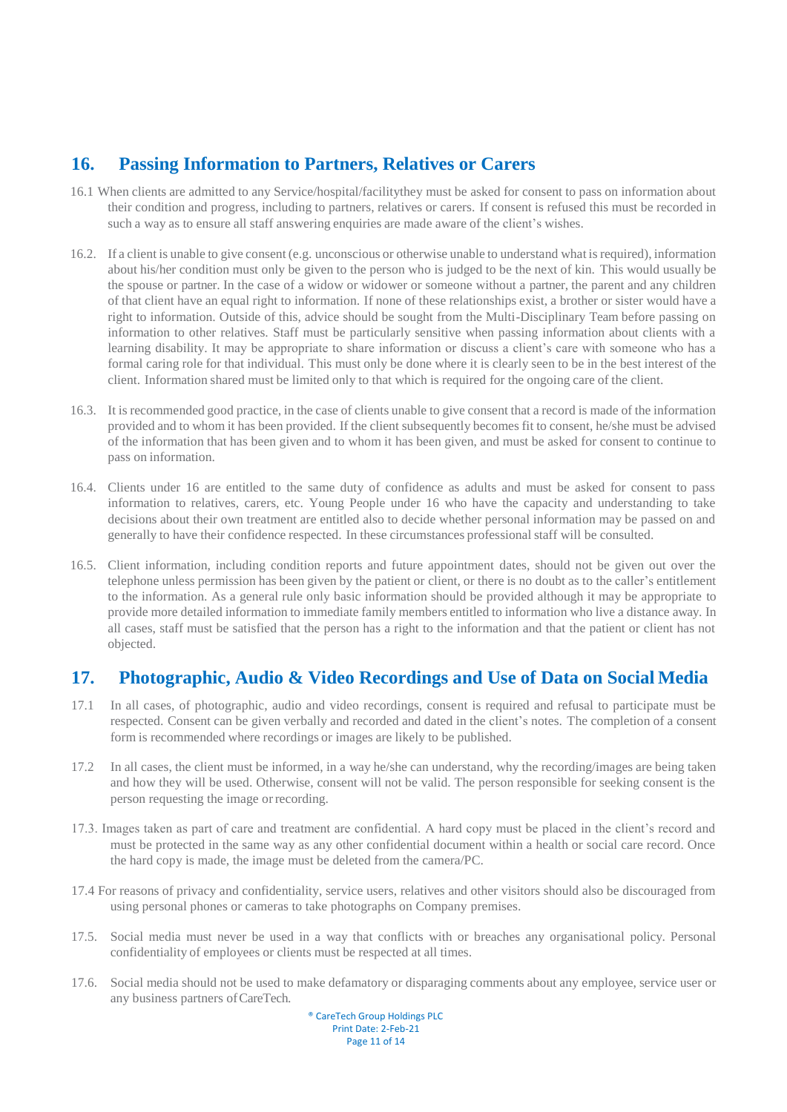## <span id="page-10-0"></span>**16. Passing Information to Partners, Relatives or Carers**

- 16.1 When clients are admitted to any Service/hospital/facilitythey must be asked for consent to pass on information about their condition and progress, including to partners, relatives or carers. If consent is refused this must be recorded in such a way as to ensure all staff answering enquiries are made aware of the client's wishes.
- 16.2. If a client is unable to give consent (e.g. unconscious or otherwise unable to understand what isrequired), information about his/her condition must only be given to the person who is judged to be the next of kin. This would usually be the spouse or partner. In the case of a widow or widower or someone without a partner, the parent and any children of that client have an equal right to information. If none of these relationships exist, a brother or sister would have a right to information. Outside of this, advice should be sought from the Multi-Disciplinary Team before passing on information to other relatives. Staff must be particularly sensitive when passing information about clients with a learning disability. It may be appropriate to share information or discuss a client's care with someone who has a formal caring role for that individual. This must only be done where it is clearly seen to be in the best interest of the client. Information shared must be limited only to that which is required for the ongoing care of the client.
- 16.3. It is recommended good practice, in the case of clients unable to give consent that a record is made of the information provided and to whom it has been provided. If the client subsequently becomes fit to consent, he/she must be advised of the information that has been given and to whom it has been given, and must be asked for consent to continue to pass on information.
- 16.4. Clients under 16 are entitled to the same duty of confidence as adults and must be asked for consent to pass information to relatives, carers, etc. Young People under 16 who have the capacity and understanding to take decisions about their own treatment are entitled also to decide whether personal information may be passed on and generally to have their confidence respected. In these circumstances professional staff will be consulted.
- 16.5. Client information, including condition reports and future appointment dates, should not be given out over the telephone unless permission has been given by the patient or client, or there is no doubt as to the caller's entitlement to the information. As a general rule only basic information should be provided although it may be appropriate to provide more detailed information to immediate family members entitled to information who live a distance away. In all cases, staff must be satisfied that the person has a right to the information and that the patient or client has not objected.

## <span id="page-10-1"></span>**17. Photographic, Audio & Video Recordings and Use of Data on Social Media**

- 17.1 In all cases, of photographic, audio and video recordings, consent is required and refusal to participate must be respected. Consent can be given verbally and recorded and dated in the client's notes. The completion of a consent form is recommended where recordings or images are likely to be published.
- 17.2 In all cases, the client must be informed, in a way he/she can understand, why the recording/images are being taken and how they will be used. Otherwise, consent will not be valid. The person responsible for seeking consent is the person requesting the image orrecording.
- 17.3. Images taken as part of care and treatment are confidential. A hard copy must be placed in the client's record and must be protected in the same way as any other confidential document within a health or social care record. Once the hard copy is made, the image must be deleted from the camera/PC.
- 17.4 For reasons of privacy and confidentiality, service users, relatives and other visitors should also be discouraged from using personal phones or cameras to take photographs on Company premises.
- 17.5. Social media must never be used in a way that conflicts with or breaches any organisational policy. Personal confidentiality of employees or clients must be respected at all times.
- 17.6. Social media should not be used to make defamatory or disparaging comments about any employee, service user or any business partners ofCareTech.

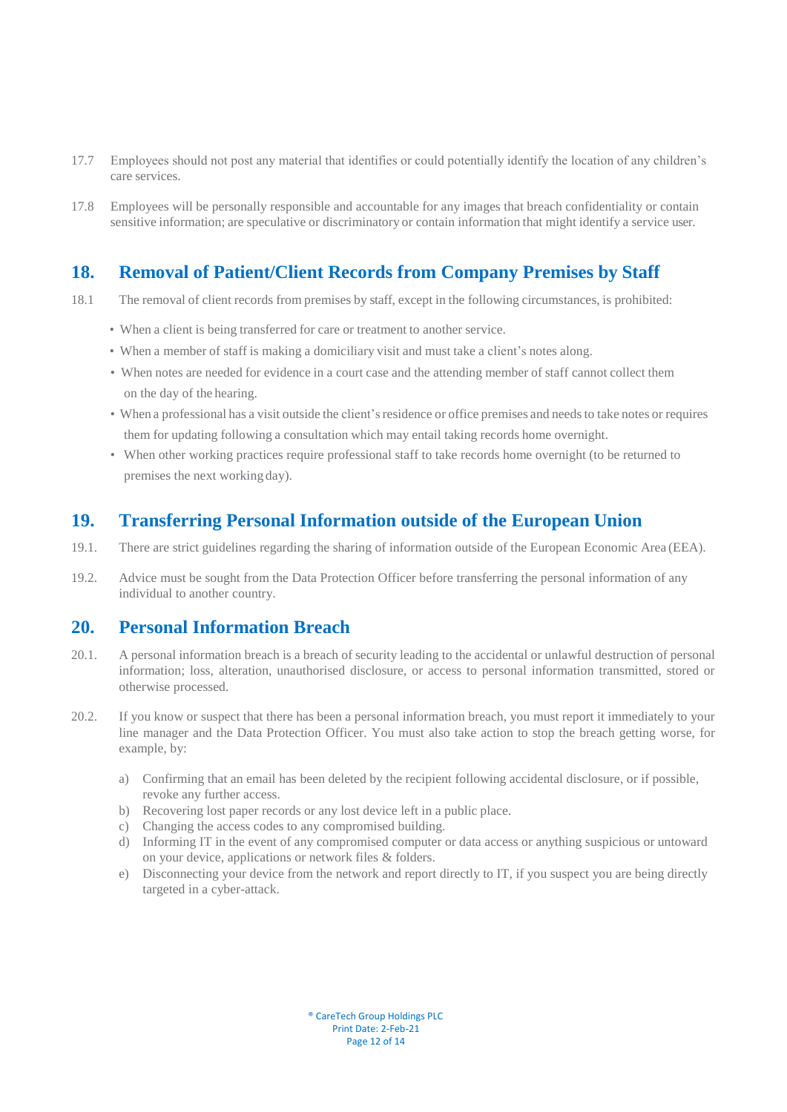- 17.7 Employees should not post any material that identifies or could potentially identify the location of any children's care services.
- 17.8 Employees will be personally responsible and accountable for any images that breach confidentiality or contain sensitive information; are speculative or discriminatory or contain information that might identify a service user.

## <span id="page-11-0"></span>**18. Removal of Patient/Client Records from Company Premises by Staff**

- 18.1 The removal of client records from premises by staff, except in the following circumstances, is prohibited:
	- When a client is being transferred for care or treatment to another service.
	- When a member of staff is making a domiciliary visit and must take a client's notes along.
	- When notes are needed for evidence in a court case and the attending member of staff cannot collect them on the day of the hearing.
	- When a professional has a visit outside the client's residence or office premises and needs to take notes or requires them for updating following a consultation which may entail taking records home overnight.
	- When other working practices require professional staff to take records home overnight (to be returned to premises the next working day).

#### <span id="page-11-1"></span>**19. Transferring Personal Information outside of the European Union**

- 19.1. There are strict guidelines regarding the sharing of information outside of the European Economic Area (EEA).
- 19.2. Advice must be sought from the Data Protection Officer before transferring the personal information of any individual to another country.

#### <span id="page-11-2"></span>**20. Personal Information Breach**

- 20.1. A personal information breach is a breach of security leading to the accidental or unlawful destruction of personal information; loss, alteration, unauthorised disclosure, or access to personal information transmitted, stored or otherwise processed.
- 20.2. If you know or suspect that there has been a personal information breach, you must report it immediately to your line manager and the Data Protection Officer. You must also take action to stop the breach getting worse, for example, by:
	- a) Confirming that an email has been deleted by the recipient following accidental disclosure, or if possible, revoke any further access.
	- b) Recovering lost paper records or any lost device left in a public place.
	- c) Changing the access codes to any compromised building.
	- d) Informing IT in the event of any compromised computer or data access or anything suspicious or untoward on your device, applications or network files & folders.
	- e) Disconnecting your device from the network and report directly to IT, if you suspect you are being directly targeted in a cyber-attack.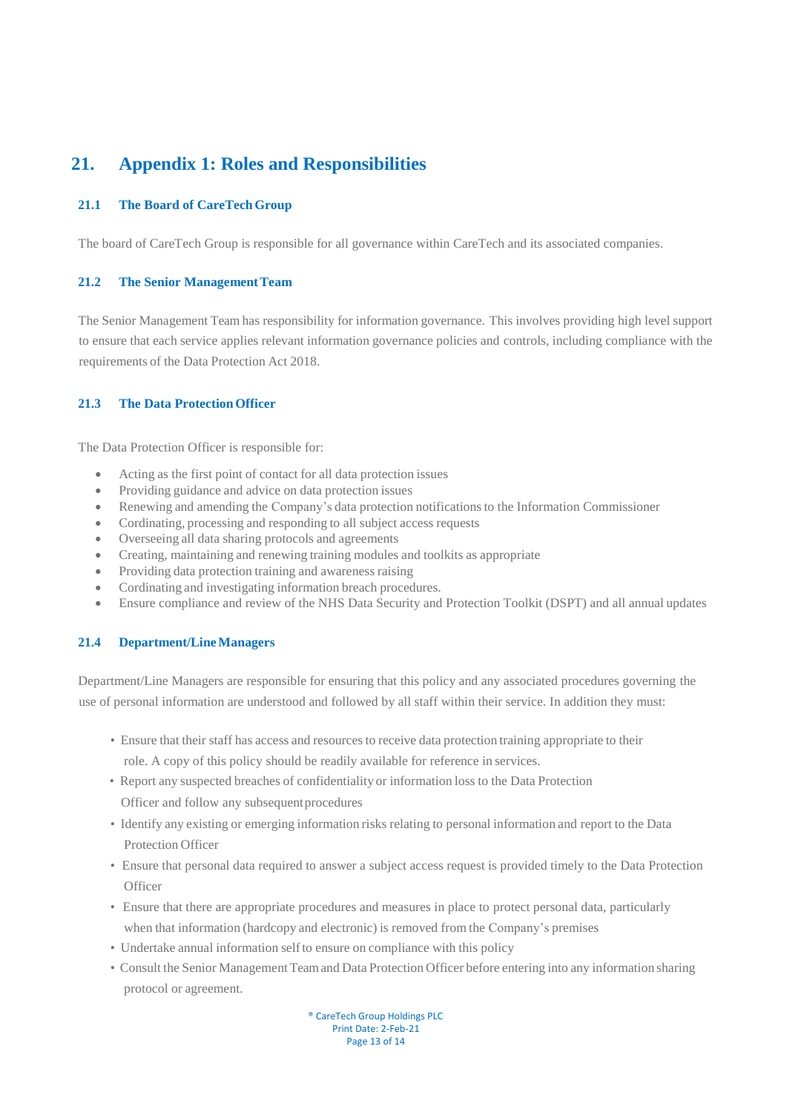# <span id="page-12-0"></span>**21. Appendix 1: Roles and Responsibilities**

#### **21.1 The Board of CareTechGroup**

The board of CareTech Group is responsible for all governance within CareTech and its associated companies.

#### **21.2** The Senior Management Team

The Senior Management Team has responsibility for information governance. This involves providing high level support to ensure that each service applies relevant information governance policies and controls, including compliance with the requirements of the Data Protection Act 2018.

#### **21.3 The Data ProtectionOfficer**

The Data Protection Officer is responsible for:

- Acting as the first point of contact for all data protection issues
- Providing guidance and advice on data protection issues
- Renewing and amending the Company's data protection notificationsto the Information Commissioner
- Cordinating, processing and responding to all subject access requests
- Overseeing all data sharing protocols and agreements
- Creating, maintaining and renewing training modules and toolkits as appropriate
- Providing data protection training and awareness raising
- Cordinating and investigating information breach procedures.
- Ensure compliance and review of the NHS Data Security and Protection Toolkit (DSPT) and all annual updates

#### **21.4 Department/LineManagers**

Department/Line Managers are responsible for ensuring that this policy and any associated procedures governing the use of personal information are understood and followed by all staff within their service. In addition they must:

- Ensure that their staff has access and resourcesto receive data protection training appropriate to their role. A copy of this policy should be readily available for reference in services.
- Report any suspected breaches of confidentiality or information loss to the Data Protection Officer and follow any subsequent procedures
- Identify any existing or emerging information risks relating to personal information and report to the Data Protection Officer
- Ensure that personal data required to answer a subject access request is provided timely to the Data Protection **Officer**
- Ensure that there are appropriate procedures and measures in place to protect personal data, particularly when that information (hardcopy and electronic) is removed from the Company's premises
- Undertake annual information selfto ensure on compliance with this policy
- Consult the Senior Management Team and Data Protection Officer before entering into any information sharing protocol or agreement.

® CareTech Group Holdings PLC Print Date: 2-Feb-21 Page 13 of 14